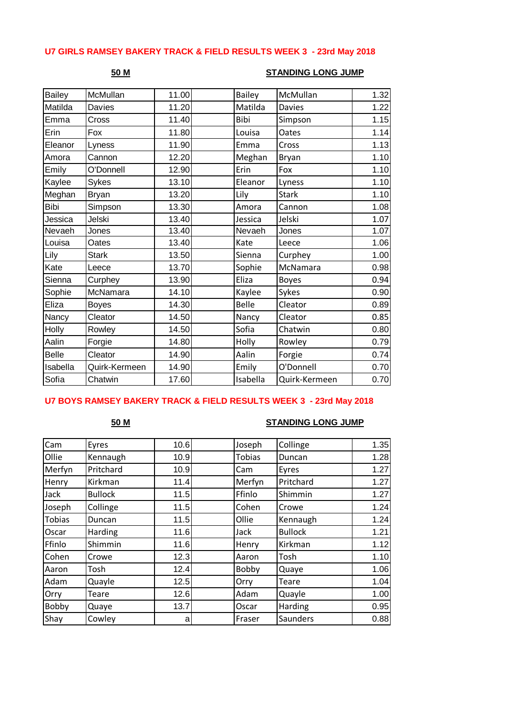## **U7 GIRLS RAMSEY BAKERY TRACK & FIELD RESULTS WEEK 3 - 23rd May 2018**

### **50 M STANDING LONG JUMP**

| <b>Bailey</b> | McMullan      | 11.00 | <b>Bailey</b> | McMullan      | 1.32 |
|---------------|---------------|-------|---------------|---------------|------|
| Matilda       | Davies        | 11.20 | Matilda       | <b>Davies</b> | 1.22 |
| Emma          | Cross         | 11.40 | Bibi          | Simpson       | 1.15 |
| Erin          | Fox           | 11.80 | Louisa        | Oates         | 1.14 |
| Eleanor       | Lyness        | 11.90 | Emma          | Cross         | 1.13 |
| Amora         | Cannon        | 12.20 | Meghan        | Bryan         | 1.10 |
| Emily         | O'Donnell     | 12.90 | Erin          | Fox           | 1.10 |
| Kaylee        | Sykes         | 13.10 | Eleanor       | Lyness        | 1.10 |
| Meghan        | <b>Bryan</b>  | 13.20 | Lily          | <b>Stark</b>  | 1.10 |
| <b>Bibi</b>   | Simpson       | 13.30 | Amora         | Cannon        | 1.08 |
| Jessica       | Jelski        | 13.40 | Jessica       | Jelski        | 1.07 |
| Nevaeh        | Jones         | 13.40 | Nevaeh        | Jones         | 1.07 |
| Louisa        | Oates         | 13.40 | Kate          | Leece         | 1.06 |
| Lily          | <b>Stark</b>  | 13.50 | Sienna        | Curphey       | 1.00 |
| Kate          | Leece         | 13.70 | Sophie        | McNamara      | 0.98 |
| Sienna        | Curphey       | 13.90 | Eliza         | <b>Boyes</b>  | 0.94 |
| Sophie        | McNamara      | 14.10 | Kaylee        | Sykes         | 0.90 |
| Eliza         | <b>Boyes</b>  | 14.30 | <b>Belle</b>  | Cleator       | 0.89 |
| Nancy         | Cleator       | 14.50 | Nancy         | Cleator       | 0.85 |
| Holly         | Rowley        | 14.50 | Sofia         | Chatwin       | 0.80 |
| Aalin         | Forgie        | 14.80 | Holly         | Rowley        | 0.79 |
| <b>Belle</b>  | Cleator       | 14.90 | Aalin         | Forgie        | 0.74 |
| Isabella      | Quirk-Kermeen | 14.90 | Emily         | O'Donnell     | 0.70 |
| Sofia         | Chatwin       | 17.60 | Isabella      | Quirk-Kermeen | 0.70 |

## **U7 BOYS RAMSEY BAKERY TRACK & FIELD RESULTS WEEK 3 - 23rd May 2018**

### **50 M STANDING LONG JUMP**

| Cam           | Eyres          | 10.6 | Joseph        | Collinge       | 1.35 |
|---------------|----------------|------|---------------|----------------|------|
| Ollie         | Kennaugh       | 10.9 | <b>Tobias</b> | Duncan         | 1.28 |
| Merfyn        | Pritchard      | 10.9 | Cam           | Eyres          | 1.27 |
| Henry         | Kirkman        | 11.4 | Merfyn        | Pritchard      | 1.27 |
| Jack          | <b>Bullock</b> | 11.5 | Ffinlo        | Shimmin        | 1.27 |
| Joseph        | Collinge       | 11.5 | Cohen         | Crowe          | 1.24 |
| <b>Tobias</b> | Duncan         | 11.5 | Ollie         | Kennaugh       | 1.24 |
| Oscar         | Harding        | 11.6 | Jack          | <b>Bullock</b> | 1.21 |
| Ffinlo        | Shimmin        | 11.6 | Henry         | Kirkman        | 1.12 |
| Cohen         | Crowe          | 12.3 | Aaron         | Tosh           | 1.10 |
| Aaron         | Tosh           | 12.4 | Bobby         | Quaye          | 1.06 |
| Adam          | Quayle         | 12.5 | Orry          | Teare          | 1.04 |
| Orry          | <b>Teare</b>   | 12.6 | Adam          | Quayle         | 1.00 |
| Bobby         | Quaye          | 13.7 | Oscar         | Harding        | 0.95 |
| Shay          | Cowley         | a    | Fraser        | Saunders       | 0.88 |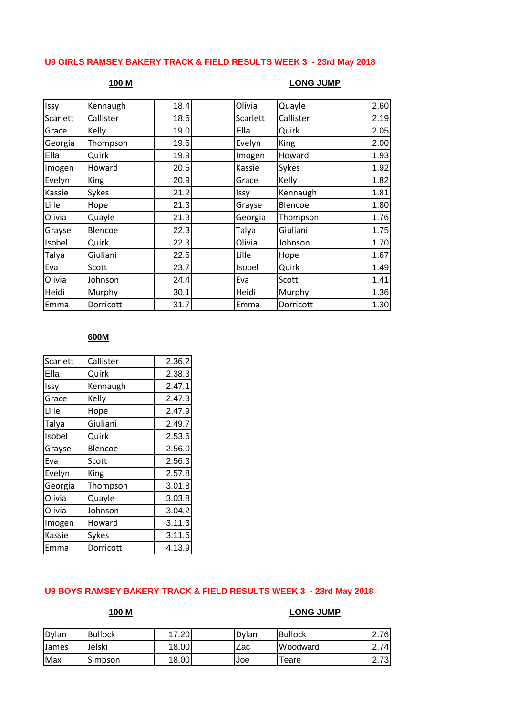# **U9 GIRLS RAMSEY BAKERY TRACK & FIELD RESULTS WEEK 3 - 23rd May 2018**

## **100 M LONG JUMP**

| Issy     | Kennaugh  | 18.4 | Olivia   | Quayle      | 2.60 |
|----------|-----------|------|----------|-------------|------|
| Scarlett | Callister | 18.6 | Scarlett | Callister   | 2.19 |
| Grace    | Kelly     | 19.0 | Ella     | Quirk       | 2.05 |
| Georgia  | Thompson  | 19.6 | Evelyn   | <b>King</b> | 2.00 |
| Ella     | Quirk     | 19.9 | Imogen   | Howard      | 1.93 |
| Imogen   | Howard    | 20.5 | Kassie   | Sykes       | 1.92 |
| Evelyn   | King      | 20.9 | Grace    | Kelly       | 1.82 |
| Kassie   | Sykes     | 21.2 | Issy     | Kennaugh    | 1.81 |
| Lille    | Hope      | 21.3 | Grayse   | Blencoe     | 1.80 |
| Olivia   | Quayle    | 21.3 | Georgia  | Thompson    | 1.76 |
| Grayse   | Blencoe   | 22.3 | Talya    | Giuliani    | 1.75 |
| Isobel   | Quirk     | 22.3 | Olivia   | Johnson     | 1.70 |
| Talya    | Giuliani  | 22.6 | Lille    | Hope        | 1.67 |
| Eva      | Scott     | 23.7 | Isobel   | Quirk       | 1.49 |
| Olivia   | Johnson   | 24.4 | Eva      | Scott       | 1.41 |
| Heidi    | Murphy    | 30.1 | Heidi    | Murphy      | 1.36 |
| Emma     | Dorricott | 31.7 | Emma     | Dorricott   | 1.30 |
|          |           |      |          |             |      |

### **600M**

| Scarlett | Callister | 2.36.2 |
|----------|-----------|--------|
| Ella     | Quirk     | 2.38.3 |
| Issy     | Kennaugh  | 2.47.1 |
| Grace    | Kelly     | 2.47.3 |
| Lille    | Hope      | 2.47.9 |
| Talya    | Giuliani  | 2.49.7 |
| Isobel   | Quirk     | 2.53.6 |
| Grayse   | Blencoe   | 2.56.0 |
| Eva      | Scott     | 2.56.3 |
| Evelyn   | King      | 2.57.8 |
| Georgia  | Thompson  | 3.01.8 |
| Olivia   | Quayle    | 3.03.8 |
| Olivia   | Johnson   | 3.04.2 |
| Imogen   | Howard    | 3.11.3 |
| Kassie   | Sykes     | 3.11.6 |
| Emma     | Dorricott | 4.13.9 |

# **U9 BOYS RAMSEY BAKERY TRACK & FIELD RESULTS WEEK 3 - 23rd May 2018**

### **100 M LONG JUMP**

| Dylan | <b>Bullock</b> | 17.20 | Dylan | <b>Bullock</b> | 2.76 |
|-------|----------------|-------|-------|----------------|------|
| James | Jelski         | 18.00 | Zac   | Woodward       | 74   |
| Max   | Simpson        | 18.00 | Joe   | Teare          | 2.73 |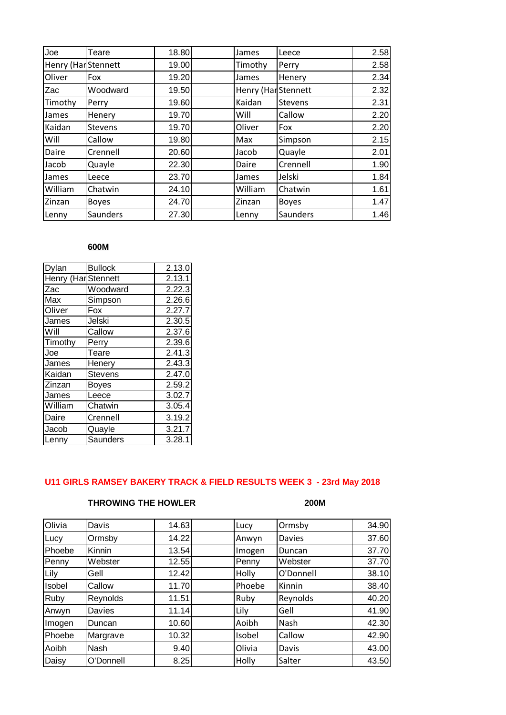| Joe                 | Teare          | 18.80 | James                      | Leece          | 2.58 |
|---------------------|----------------|-------|----------------------------|----------------|------|
| Henry (Har Stennett |                | 19.00 | Timothy                    | Perry          | 2.58 |
| Oliver              | Fox            | 19.20 | James                      | Henery         | 2.34 |
| Zac                 | Woodward       | 19.50 | <b>Henry (Har Stennett</b> |                | 2.32 |
| Timothy             | Perry          | 19.60 | Kaidan                     | <b>Stevens</b> | 2.31 |
| James               | Henery         | 19.70 | Will                       | Callow         | 2.20 |
| Kaidan              | <b>Stevens</b> | 19.70 | Oliver                     | Fox            | 2.20 |
| Will                | Callow         | 19.80 | Max                        | Simpson        | 2.15 |
| Daire               | Crennell       | 20.60 | Jacob                      | Quayle         | 2.01 |
| Jacob               | Quayle         | 22.30 | Daire                      | Crennell       | 1.90 |
| James               | Leece          | 23.70 | James                      | Jelski         | 1.84 |
| William             | Chatwin        | 24.10 | William                    | Chatwin        | 1.61 |
| Zinzan              | <b>Boyes</b>   | 24.70 | Zinzan                     | <b>Boyes</b>   | 1.47 |
| Lenny               | Saunders       | 27.30 | Lenny                      | Saunders       | 1.46 |

# **600M**

| Dylan               | <b>Bullock</b> | 2.13.0 |
|---------------------|----------------|--------|
| Henry (Har Stennett |                | 2.13.1 |
| Zac                 | Woodward       | 2.22.3 |
| Max                 | Simpson        | 2.26.6 |
| Oliver              | Fox            | 2.27.7 |
| James               | Jelski         | 2.30.5 |
| Will                | Callow         | 2.37.6 |
| Timothy             | Perry          | 2.39.6 |
| Joe                 | Teare          | 2.41.3 |
| James               | Henery         | 2.43.3 |
| Kaidan              | <b>Stevens</b> | 2.47.0 |
| Zinzan              | <b>Boyes</b>   | 2.59.2 |
| James               | Leece          | 3.02.7 |
| William             | Chatwin        | 3.05.4 |
| Daire               | Crennell       | 3.19.2 |
| Jacob               | Quayle         | 3.21.7 |
| Lenny               | Saunders       | 3.28.1 |

# **U11 GIRLS RAMSEY BAKERY TRACK & FIELD RESULTS WEEK 3 - 23rd May 2018**

# **THROWING THE HOWLER 200M**

| Olivia | Davis     | 14.63 | Lucy   | Ormsby        | 34.90 |
|--------|-----------|-------|--------|---------------|-------|
| Lucy   | Ormsby    | 14.22 | Anwyn  | <b>Davies</b> | 37.60 |
| Phoebe | Kinnin    | 13.54 | Imogen | Duncan        | 37.70 |
| Penny  | Webster   | 12.55 | Penny  | Webster       | 37.70 |
| Lily   | Gell      | 12.42 | Holly  | O'Donnell     | 38.10 |
| Isobel | Callow    | 11.70 | Phoebe | Kinnin        | 38.40 |
| Ruby   | Reynolds  | 11.51 | Ruby   | Reynolds      | 40.20 |
| Anwyn  | Davies    | 11.14 | Lily   | Gell          | 41.90 |
| Imogen | Duncan    | 10.60 | Aoibh  | Nash          | 42.30 |
| Phoebe | Margrave  | 10.32 | Isobel | Callow        | 42.90 |
| Aoibh  | Nash      | 9.40  | Olivia | Davis         | 43.00 |
| Daisy  | O'Donnell | 8.25  | Holly  | Salter        | 43.50 |